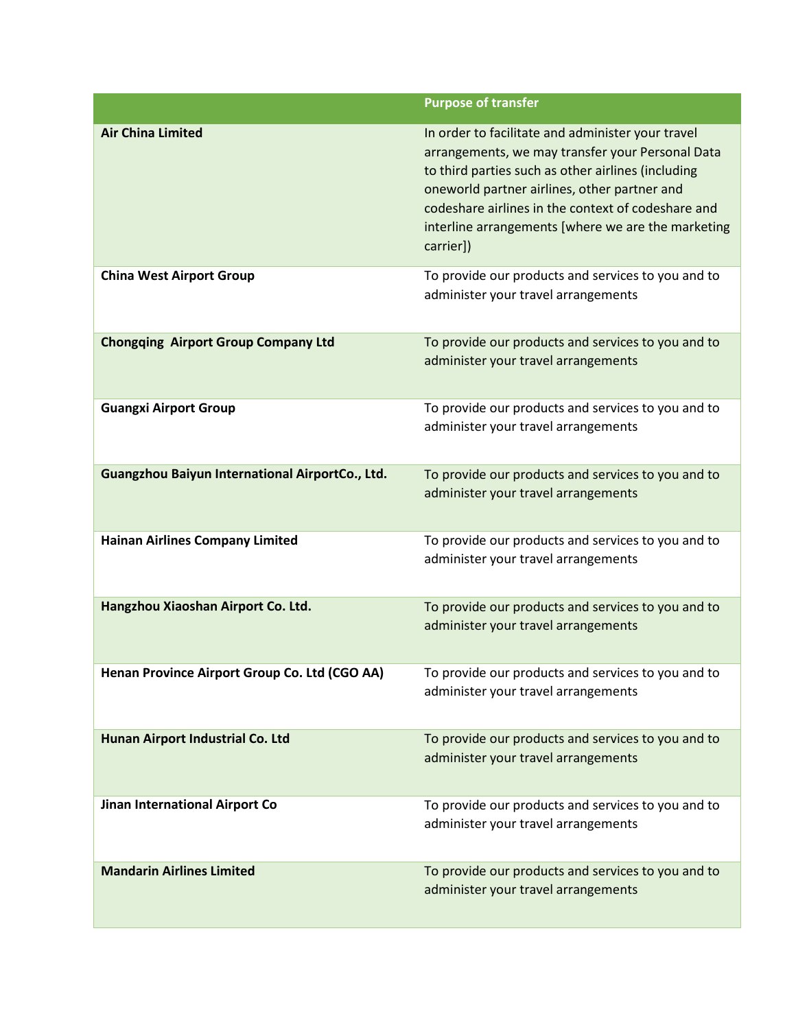|                                                 | <b>Purpose of transfer</b>                                                                                                                                                                                                                                                                                                           |
|-------------------------------------------------|--------------------------------------------------------------------------------------------------------------------------------------------------------------------------------------------------------------------------------------------------------------------------------------------------------------------------------------|
| <b>Air China Limited</b>                        | In order to facilitate and administer your travel<br>arrangements, we may transfer your Personal Data<br>to third parties such as other airlines (including<br>oneworld partner airlines, other partner and<br>codeshare airlines in the context of codeshare and<br>interline arrangements [where we are the marketing<br>carrier]) |
| <b>China West Airport Group</b>                 | To provide our products and services to you and to<br>administer your travel arrangements                                                                                                                                                                                                                                            |
| <b>Chongqing Airport Group Company Ltd</b>      | To provide our products and services to you and to<br>administer your travel arrangements                                                                                                                                                                                                                                            |
| <b>Guangxi Airport Group</b>                    | To provide our products and services to you and to<br>administer your travel arrangements                                                                                                                                                                                                                                            |
| Guangzhou Baiyun International AirportCo., Ltd. | To provide our products and services to you and to<br>administer your travel arrangements                                                                                                                                                                                                                                            |
| <b>Hainan Airlines Company Limited</b>          | To provide our products and services to you and to<br>administer your travel arrangements                                                                                                                                                                                                                                            |
| Hangzhou Xiaoshan Airport Co. Ltd.              | To provide our products and services to you and to<br>administer your travel arrangements                                                                                                                                                                                                                                            |
| Henan Province Airport Group Co. Ltd (CGO AA)   | To provide our products and services to you and to<br>administer your travel arrangements                                                                                                                                                                                                                                            |
| Hunan Airport Industrial Co. Ltd                | To provide our products and services to you and to<br>administer your travel arrangements                                                                                                                                                                                                                                            |
| Jinan International Airport Co                  | To provide our products and services to you and to<br>administer your travel arrangements                                                                                                                                                                                                                                            |
| <b>Mandarin Airlines Limited</b>                | To provide our products and services to you and to<br>administer your travel arrangements                                                                                                                                                                                                                                            |